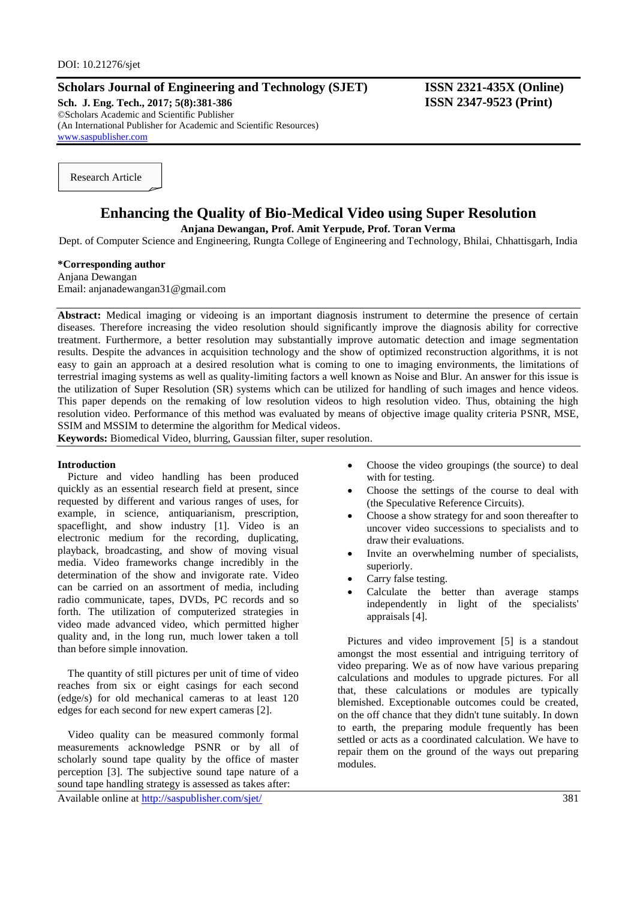# **Scholars Journal of Engineering and Technology (SJET) ISSN 2321-435X (Online)**

**Sch. J. Eng. Tech., 2017; 5(8):381-386 ISSN 2347-9523 (Print)** ©Scholars Academic and Scientific Publisher (An International Publisher for Academic and Scientific Resources) [www.saspublisher.com](http://www.saspublisher.com/)

Research Article

# **Enhancing the Quality of Bio-Medical Video using Super Resolution**

**Anjana Dewangan, Prof. Amit Yerpude, Prof. Toran Verma**

Dept. of Computer Science and Engineering, Rungta College of Engineering and Technology, Bhilai, Chhattisgarh, India

# **\*Corresponding author**

Anjana Dewangan Email: anjanadewangan31@gmail.com

Abstract: Medical imaging or videoing is an important diagnosis instrument to determine the presence of certain diseases. Therefore increasing the video resolution should significantly improve the diagnosis ability for corrective treatment. Furthermore, a better resolution may substantially improve automatic detection and image segmentation results. Despite the advances in acquisition technology and the show of optimized reconstruction algorithms, it is not easy to gain an approach at a desired resolution what is coming to one to imaging environments, the limitations of terrestrial imaging systems as well as quality-limiting factors a well known as Noise and Blur. An answer for this issue is the utilization of Super Resolution (SR) systems which can be utilized for handling of such images and hence videos. This paper depends on the remaking of low resolution videos to high resolution video. Thus, obtaining the high resolution video. Performance of this method was evaluated by means of objective image quality criteria PSNR, MSE, SSIM and MSSIM to determine the algorithm for Medical videos.

**Keywords:** Biomedical Video, blurring, Gaussian filter, super resolution.

#### **Introduction**

Picture and video handling has been produced quickly as an essential research field at present, since requested by different and various ranges of uses, for example, in science, antiquarianism, prescription, spaceflight, and show industry [1]. Video is an electronic medium for the recording, duplicating, playback, broadcasting, and show of moving visual media. Video frameworks change incredibly in the determination of the show and invigorate rate. Video can be carried on an assortment of media, including radio communicate, tapes, DVDs, PC records and so forth. The utilization of computerized strategies in video made advanced video, which permitted higher quality and, in the long run, much lower taken a toll than before simple innovation.

The quantity of still pictures per unit of time of video reaches from six or eight casings for each second (edge/s) for old mechanical cameras to at least 120 edges for each second for new expert cameras [2].

Video quality can be measured commonly formal measurements acknowledge PSNR or by all of scholarly sound tape quality by the office of master perception [3]. The subjective sound tape nature of a sound tape handling strategy is assessed as takes after:

Available online at<http://saspublisher.com/sjet/> 381

- Choose the video groupings (the source) to deal with for testing.
- Choose the settings of the course to deal with (the Speculative Reference Circuits).
- Choose a show strategy for and soon thereafter to uncover video successions to specialists and to draw their evaluations.
- Invite an overwhelming number of specialists, superiorly.
- Carry false testing.
- Calculate the better than average stamps independently in light of the specialists' appraisals [4].

Pictures and video improvement [5] is a standout amongst the most essential and intriguing territory of video preparing. We as of now have various preparing calculations and modules to upgrade pictures. For all that, these calculations or modules are typically blemished. Exceptionable outcomes could be created, on the off chance that they didn't tune suitably. In down to earth, the preparing module frequently has been settled or acts as a coordinated calculation. We have to repair them on the ground of the ways out preparing modules.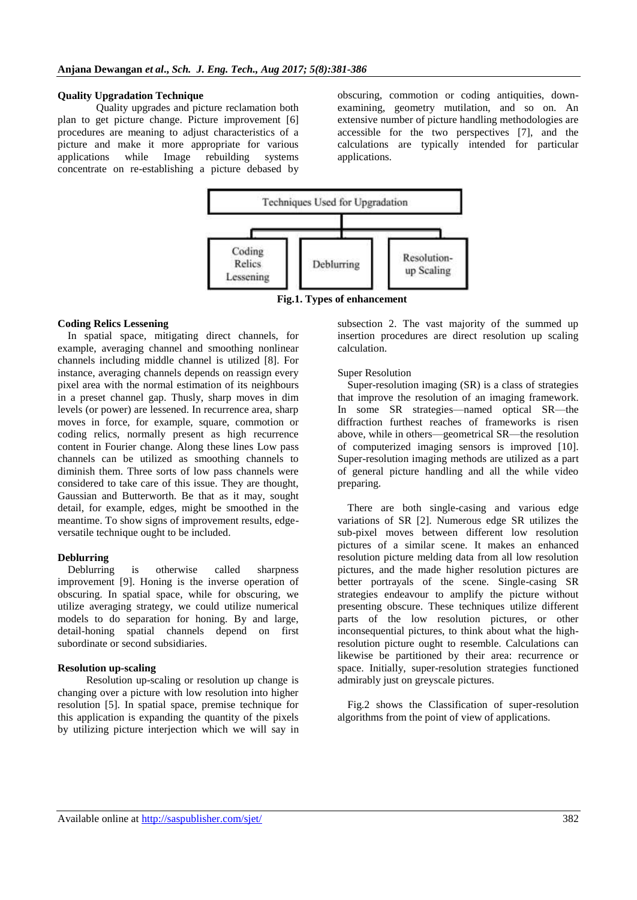#### **Quality Upgradation Technique**

Quality upgrades and picture reclamation both plan to get picture change. Picture improvement [6] procedures are meaning to adjust characteristics of a picture and make it more appropriate for various applications while Image rebuilding systems concentrate on re-establishing a picture debased by obscuring, commotion or coding antiquities, downexamining, geometry mutilation, and so on. An extensive number of picture handling methodologies are accessible for the two perspectives [7], and the calculations are typically intended for particular applications.



**Fig.1. Types of enhancement**

## **Coding Relics Lessening**

In spatial space, mitigating direct channels, for example, averaging channel and smoothing nonlinear channels including middle channel is utilized [8]. For instance, averaging channels depends on reassign every pixel area with the normal estimation of its neighbours in a preset channel gap. Thusly, sharp moves in dim levels (or power) are lessened. In recurrence area, sharp moves in force, for example, square, commotion or coding relics, normally present as high recurrence content in Fourier change. Along these lines Low pass channels can be utilized as smoothing channels to diminish them. Three sorts of low pass channels were considered to take care of this issue. They are thought, Gaussian and Butterworth. Be that as it may, sought detail, for example, edges, might be smoothed in the meantime. To show signs of improvement results, edgeversatile technique ought to be included.

### **Deblurring**

Deblurring is otherwise called sharpness improvement [9]. Honing is the inverse operation of obscuring. In spatial space, while for obscuring, we utilize averaging strategy, we could utilize numerical models to do separation for honing. By and large, detail-honing spatial channels depend on first subordinate or second subsidiaries.

### **Resolution up-scaling**

Resolution up-scaling or resolution up change is changing over a picture with low resolution into higher resolution [5]. In spatial space, premise technique for this application is expanding the quantity of the pixels by utilizing picture interjection which we will say in

subsection 2. The vast majority of the summed up insertion procedures are direct resolution up scaling calculation.

#### Super Resolution

Super-resolution imaging (SR) is a class of strategies that improve the resolution of an imaging framework. In some SR strategies—named optical SR—the diffraction furthest reaches of frameworks is risen above, while in others—geometrical SR—the resolution of computerized imaging sensors is improved [10]. Super-resolution imaging methods are utilized as a part of general picture handling and all the while video preparing.

There are both single-casing and various edge variations of SR [2]. Numerous edge SR utilizes the sub-pixel moves between different low resolution pictures of a similar scene. It makes an enhanced resolution picture melding data from all low resolution pictures, and the made higher resolution pictures are better portrayals of the scene. Single-casing SR strategies endeavour to amplify the picture without presenting obscure. These techniques utilize different parts of the low resolution pictures, or other inconsequential pictures, to think about what the highresolution picture ought to resemble. Calculations can likewise be partitioned by their area: recurrence or space. Initially, super-resolution strategies functioned admirably just on greyscale pictures.

Fig.2 shows the Classification of super-resolution algorithms from the point of view of applications.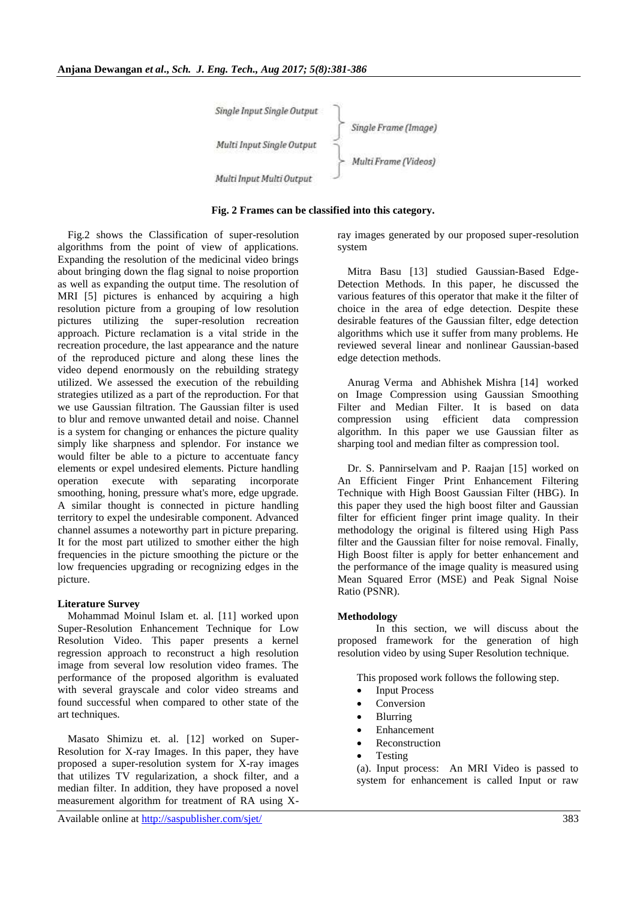| Single Input Single Output |                      |
|----------------------------|----------------------|
|                            | Single Frame (Image) |
| Multi Input Single Output  |                      |
|                            | Multi Frame (Videos) |
| Multi Input Multi Output   |                      |

### **Fig. 2 Frames can be classified into this category.**

Fig.2 shows the Classification of super-resolution algorithms from the point of view of applications. Expanding the resolution of the medicinal video brings about bringing down the flag signal to noise proportion as well as expanding the output time. The resolution of MRI [5] pictures is enhanced by acquiring a high resolution picture from a grouping of low resolution pictures utilizing the super-resolution recreation approach. Picture reclamation is a vital stride in the recreation procedure, the last appearance and the nature of the reproduced picture and along these lines the video depend enormously on the rebuilding strategy utilized. We assessed the execution of the rebuilding strategies utilized as a part of the reproduction. For that we use Gaussian filtration. The Gaussian filter is used to blur and remove unwanted detail and noise. Channel is a system for changing or enhances the picture quality simply like sharpness and splendor. For instance we would filter be able to a picture to accentuate fancy elements or expel undesired elements. Picture handling operation execute with separating incorporate smoothing, honing, pressure what's more, edge upgrade. A similar thought is connected in picture handling territory to expel the undesirable component. Advanced channel assumes a noteworthy part in picture preparing. It for the most part utilized to smother either the high frequencies in the picture smoothing the picture or the low frequencies upgrading or recognizing edges in the picture.

### **Literature Survey**

Mohammad Moinul Islam et. al. [11] worked upon Super-Resolution Enhancement Technique for Low Resolution Video. This paper presents a kernel regression approach to reconstruct a high resolution image from several low resolution video frames. The performance of the proposed algorithm is evaluated with several grayscale and color video streams and found successful when compared to other state of the art techniques.

Masato Shimizu et. al. [12] worked on Super-Resolution for X-ray Images. In this paper, they have proposed a super-resolution system for X-ray images that utilizes TV regularization, a shock filter, and a median filter. In addition, they have proposed a novel measurement algorithm for treatment of RA using X-

ray images generated by our proposed super-resolution system

Mitra Basu [13] studied Gaussian-Based Edge-Detection Methods. In this paper, he discussed the various features of this operator that make it the filter of choice in the area of edge detection. Despite these desirable features of the Gaussian filter, edge detection algorithms which use it suffer from many problems. He reviewed several linear and nonlinear Gaussian-based edge detection methods.

Anurag Verma and Abhishek Mishra [14] worked on Image Compression using Gaussian Smoothing Filter and Median Filter. It is based on data compression using efficient data compression algorithm. In this paper we use Gaussian filter as sharping tool and median filter as compression tool.

Dr. S. Pannirselvam and P. Raajan [15] worked on An Efficient Finger Print Enhancement Filtering Technique with High Boost Gaussian Filter (HBG). In this paper they used the high boost filter and Gaussian filter for efficient finger print image quality. In their methodology the original is filtered using High Pass filter and the Gaussian filter for noise removal. Finally, High Boost filter is apply for better enhancement and the performance of the image quality is measured using Mean Squared Error (MSE) and Peak Signal Noise Ratio (PSNR).

# **Methodology**

In this section, we will discuss about the proposed framework for the generation of high resolution video by using Super Resolution technique.

This proposed work follows the following step.

- Input Process
- Conversion
- Blurring
- Enhancement
- Reconstruction
- Testing

(a). Input process: An MRI Video is passed to system for enhancement is called Input or raw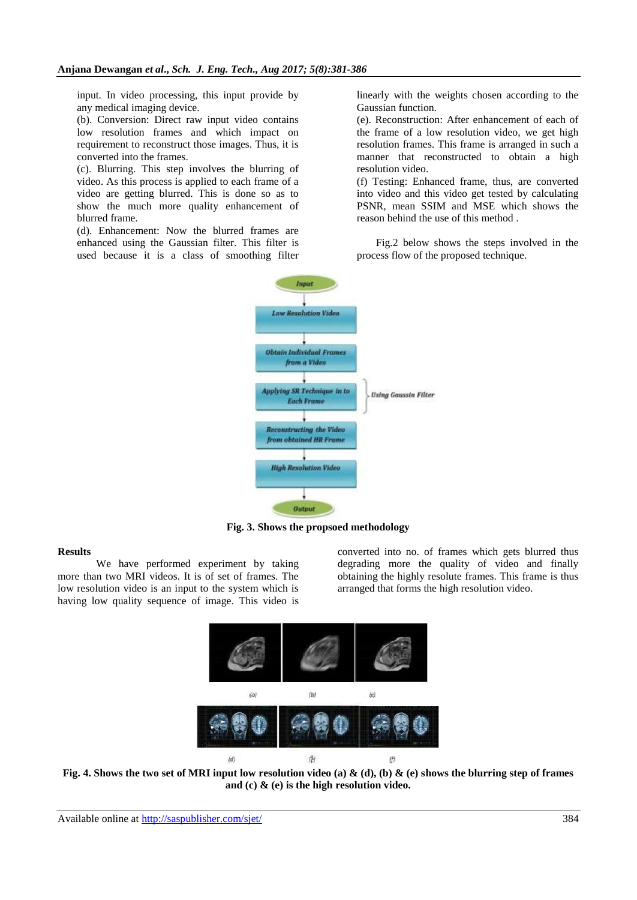input. In video processing, this input provide by any medical imaging device.

(b). Conversion: Direct raw input video contains low resolution frames and which impact on requirement to reconstruct those images. Thus, it is converted into the frames.

(c). Blurring. This step involves the blurring of video. As this process is applied to each frame of a video are getting blurred. This is done so as to show the much more quality enhancement of blurred frame.

(d). Enhancement: Now the blurred frames are enhanced using the Gaussian filter. This filter is used because it is a class of smoothing filter linearly with the weights chosen according to the Gaussian function.

(e). Reconstruction: After enhancement of each of the frame of a low resolution video, we get high resolution frames. This frame is arranged in such a manner that reconstructed to obtain a high resolution video.

(f) Testing: Enhanced frame, thus, are converted into video and this video get tested by calculating PSNR, mean SSIM and MSE which shows the reason behind the use of this method .

Fig.2 below shows the steps involved in the process flow of the proposed technique.



**Fig. 3. Shows the propsoed methodology**

### **Results**

We have performed experiment by taking more than two MRI videos. It is of set of frames. The low resolution video is an input to the system which is having low quality sequence of image. This video is

converted into no. of frames which gets blurred thus degrading more the quality of video and finally obtaining the highly resolute frames. This frame is thus arranged that forms the high resolution video.



**Fig. 4. Shows the two set of MRI input low resolution video (a) & (d), (b) & (e) shows the blurring step of frames and (c) & (e) is the high resolution video.**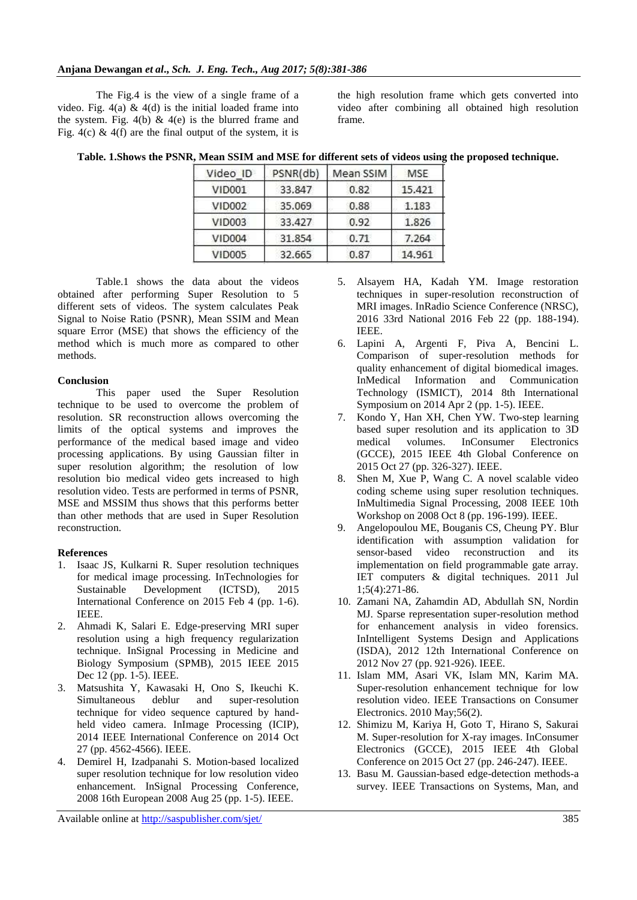The Fig.4 is the view of a single frame of a video. Fig.  $4(a) \& 4(d)$  is the initial loaded frame into the system. Fig. 4(b)  $\&$  4(e) is the blurred frame and Fig. 4(c) & 4(f) are the final output of the system, it is

the high resolution frame which gets converted into video after combining all obtained high resolution frame.

| Video ID           | PSNR(db) | Mean SSIM | MSE    |
|--------------------|----------|-----------|--------|
| VID001             | 33.847   | 0.82      | 15.421 |
| <b>VID002</b>      | 35.069   | 0.88      | 1.183  |
| VID003             | 33,427   | 0.92      | 1.826  |
| VID <sub>004</sub> | 31.854   | 0.71      | 7.264  |
| VID005             | 32.665   | 0.87      | 14.961 |

**Table. 1.Shows the PSNR, Mean SSIM and MSE for different sets of videos using the proposed technique.**

Table.1 shows the data about the videos obtained after performing Super Resolution to 5 different sets of videos. The system calculates Peak Signal to Noise Ratio (PSNR), Mean SSIM and Mean square Error (MSE) that shows the efficiency of the method which is much more as compared to other methods.

# **Conclusion**

This paper used the Super Resolution technique to be used to overcome the problem of resolution. SR reconstruction allows overcoming the limits of the optical systems and improves the performance of the medical based image and video processing applications. By using Gaussian filter in super resolution algorithm; the resolution of low resolution bio medical video gets increased to high resolution video. Tests are performed in terms of PSNR, MSE and MSSIM thus shows that this performs better than other methods that are used in Super Resolution reconstruction.

# **References**

- 1. Isaac JS, Kulkarni R. Super resolution techniques for medical image processing. InTechnologies for Sustainable Development (ICTSD), 2015 International Conference on 2015 Feb 4 (pp. 1-6). IEEE.
- 2. Ahmadi K, Salari E. Edge-preserving MRI super resolution using a high frequency regularization technique. InSignal Processing in Medicine and Biology Symposium (SPMB), 2015 IEEE 2015 Dec 12 (pp. 1-5). IEEE.
- 3. Matsushita Y, Kawasaki H, Ono S, Ikeuchi K. Simultaneous deblur and super-resolution technique for video sequence captured by handheld video camera. InImage Processing (ICIP), 2014 IEEE International Conference on 2014 Oct 27 (pp. 4562-4566). IEEE.
- 4. Demirel H, Izadpanahi S. Motion-based localized super resolution technique for low resolution video enhancement. InSignal Processing Conference, 2008 16th European 2008 Aug 25 (pp. 1-5). IEEE.
- 5. Alsayem HA, Kadah YM. Image restoration techniques in super-resolution reconstruction of MRI images. InRadio Science Conference (NRSC), 2016 33rd National 2016 Feb 22 (pp. 188-194). IEEE.
- 6. Lapini A, Argenti F, Piva A, Bencini L. Comparison of super-resolution methods for quality enhancement of digital biomedical images. InMedical Information and Communication Technology (ISMICT), 2014 8th International Symposium on 2014 Apr 2 (pp. 1-5). IEEE.
- 7. Kondo Y, Han XH, Chen YW. Two-step learning based super resolution and its application to 3D medical volumes. InConsumer Electronics (GCCE), 2015 IEEE 4th Global Conference on 2015 Oct 27 (pp. 326-327). IEEE.
- 8. Shen M, Xue P, Wang C. A novel scalable video coding scheme using super resolution techniques. InMultimedia Signal Processing, 2008 IEEE 10th Workshop on 2008 Oct 8 (pp. 196-199). IEEE.
- 9. Angelopoulou ME, Bouganis CS, Cheung PY. Blur identification with assumption validation for sensor-based video reconstruction and its implementation on field programmable gate array. IET computers & digital techniques. 2011 Jul 1;5(4):271-86.
- 10. Zamani NA, Zahamdin AD, Abdullah SN, Nordin MJ. Sparse representation super-resolution method for enhancement analysis in video forensics. InIntelligent Systems Design and Applications (ISDA), 2012 12th International Conference on 2012 Nov 27 (pp. 921-926). IEEE.
- 11. Islam MM, Asari VK, Islam MN, Karim MA. Super-resolution enhancement technique for low resolution video. IEEE Transactions on Consumer Electronics. 2010 May;56(2).
- 12. Shimizu M, Kariya H, Goto T, Hirano S, Sakurai M. Super-resolution for X-ray images. InConsumer Electronics (GCCE), 2015 IEEE 4th Global Conference on 2015 Oct 27 (pp. 246-247). IEEE.
- 13. Basu M. Gaussian-based edge-detection methods-a survey. IEEE Transactions on Systems, Man, and